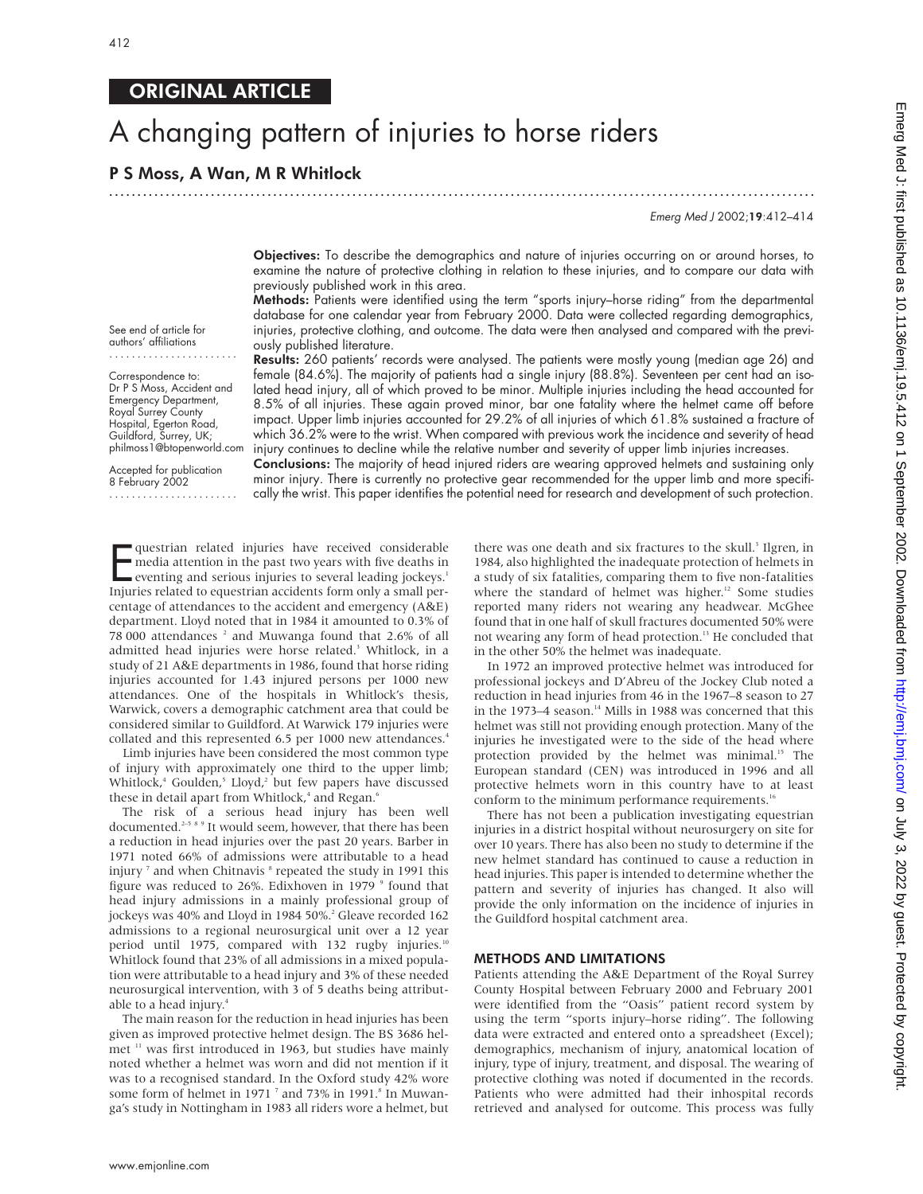# ORIGINAL ARTICLE

# A changing pattern of injuries to horse riders

# P S Moss, A Wan, M R Whitlock

.............................................................................................................................

Emerg Med J 2002;19:412–414

Objectives: To describe the demographics and nature of injuries occurring on or around horses, to examine the nature of protective clothing in relation to these injuries, and to compare our data with previously published work in this area.

Methods: Patients were identified using the term "sports injury–horse riding" from the departmental database for one calendar year from February 2000. Data were collected regarding demographics, injuries, protective clothing, and outcome. The data were then analysed and compared with the previously published literature.

Results: 260 patients' records were analysed. The patients were mostly young (median age 26) and female (84.6%). The majority of patients had a single injury (88.8%). Seventeen per cent had an isolated head injury, all of which proved to be minor. Multiple injuries including the head accounted for 8.5% of all injuries. These again proved minor, bar one fatality where the helmet came off before impact. Upper limb injuries accounted for 29.2% of all injuries of which 61.8% sustained a fracture of which 36.2% were to the wrist. When compared with previous work the incidence and severity of head injury continues to decline while the relative number and severity of upper limb injuries increases.

Accepted for publication 8 February 2002 .......................

See end of article for authors' affiliations

Correspondence to: Dr P S Moss, Accident and Emergency Department, Royal Surrey County Hospital, Egerton Road, Guildford, Surrey, UK; philmoss1@btopenworld.com

> Conclusions: The majority of head injured riders are wearing approved helmets and sustaining only minor injury. There is currently no protective gear recommended for the upper limb and more specifically the wrist. This paper identifies the potential need for research and development of such protection.

questrian related injuries have received considerable<br>media attention in the past two years with five deaths in<br>eventing and serious injuries to several leading jockeys.<sup>1</sup><br>Injuries related to equestrian accidents form onl questrian related injuries have received considerable media attention in the past two years with five deaths in eventing and serious injuries to several leading jockeys.<sup>1</sup> centage of attendances to the accident and emergency (A&E) department. Lloyd noted that in 1984 it amounted to 0.3% of 78 000 attendances<sup>2</sup> and Muwanga found that 2.6% of all admitted head injuries were horse related.<sup>3</sup> Whitlock, in a study of 21 A&E departments in 1986, found that horse riding injuries accounted for 1.43 injured persons per 1000 new attendances. One of the hospitals in Whitlock's thesis, Warwick, covers a demographic catchment area that could be considered similar to Guildford. At Warwick 179 injuries were collated and this represented 6.5 per 1000 new attendances.<sup>4</sup>

Limb injuries have been considered the most common type of injury with approximately one third to the upper limb; Whitlock,<sup>4</sup> Goulden,<sup>5</sup> Lloyd,<sup>2</sup> but few papers have discussed these in detail apart from Whitlock,<sup>4</sup> and Regan. $^6$ 

The risk of a serious head injury has been well documented.<sup>2-5 8 9</sup> It would seem, however, that there has been a reduction in head injuries over the past 20 years. Barber in 1971 noted 66% of admissions were attributable to a head injury<sup>7</sup> and when Chitnavis<sup>8</sup> repeated the study in 1991 this figure was reduced to  $26\%$ . Edixhoven in 1979  $\degree$  found that head injury admissions in a mainly professional group of jockeys was 40% and Lloyd in 1984 50%.<sup>2</sup> Gleave recorded 162 admissions to a regional neurosurgical unit over a 12 year period until 1975, compared with 132 rugby injuries.<sup>10</sup> Whitlock found that 23% of all admissions in a mixed population were attributable to a head injury and 3% of these needed neurosurgical intervention, with 3 of 5 deaths being attributable to a head injury.<sup>4</sup>

The main reason for the reduction in head injuries has been given as improved protective helmet design. The BS 3686 helmet <sup>11</sup> was first introduced in 1963, but studies have mainly noted whether a helmet was worn and did not mention if it was to a recognised standard. In the Oxford study 42% wore some form of helmet in 1971<sup>7</sup> and 73% in 1991.<sup>8</sup> In Muwanga's study in Nottingham in 1983 all riders wore a helmet, but

there was one death and six fractures to the skull.<sup>3</sup> Ilgren, in 1984, also highlighted the inadequate protection of helmets in a study of six fatalities, comparing them to five non-fatalities where the standard of helmet was higher.<sup>12</sup> Some studies reported many riders not wearing any headwear. McGhee found that in one half of skull fractures documented 50% were not wearing any form of head protection.<sup>13</sup> He concluded that in the other 50% the helmet was inadequate.

In 1972 an improved protective helmet was introduced for professional jockeys and D'Abreu of the Jockey Club noted a reduction in head injuries from 46 in the 1967–8 season to 27 in the 1973–4 season.<sup>14</sup> Mills in 1988 was concerned that this helmet was still not providing enough protection. Many of the injuries he investigated were to the side of the head where protection provided by the helmet was minimal.<sup>15</sup> The European standard (CEN) was introduced in 1996 and all protective helmets worn in this country have to at least conform to the minimum performance requirements.<sup>16</sup>

There has not been a publication investigating equestrian injuries in a district hospital without neurosurgery on site for over 10 years. There has also been no study to determine if the new helmet standard has continued to cause a reduction in head injuries. This paper is intended to determine whether the pattern and severity of injuries has changed. It also will provide the only information on the incidence of injuries in the Guildford hospital catchment area.

#### METHODS AND LIMITATIONS

Patients attending the A&E Department of the Royal Surrey County Hospital between February 2000 and February 2001 were identified from the "Oasis" patient record system by using the term "sports injury–horse riding". The following data were extracted and entered onto a spreadsheet (Excel); demographics, mechanism of injury, anatomical location of injury, type of injury, treatment, and disposal. The wearing of protective clothing was noted if documented in the records. Patients who were admitted had their inhospital records retrieved and analysed for outcome. This process was fully

www.emjonline.com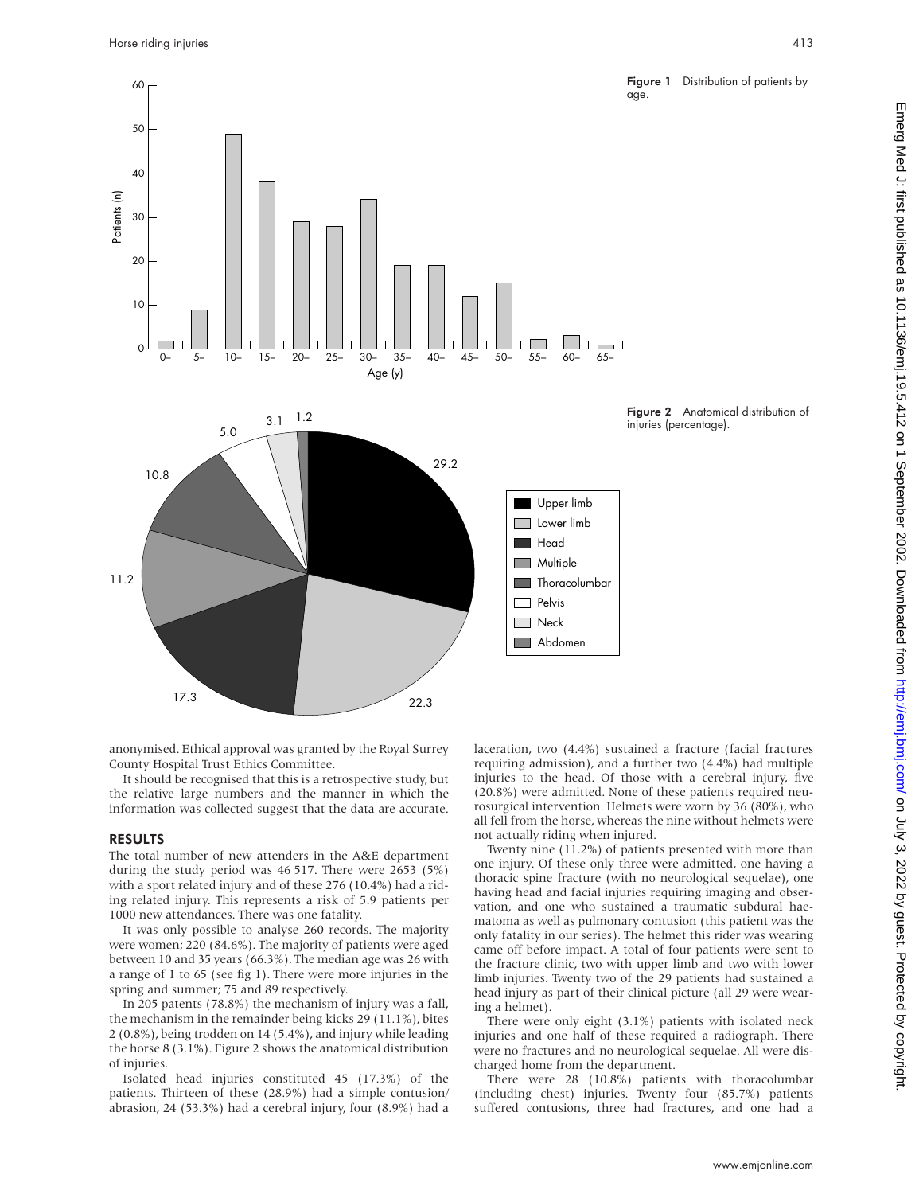

anonymised. Ethical approval was granted by the Royal Surrey County Hospital Trust Ethics Committee.

It should be recognised that this is a retrospective study, but the relative large numbers and the manner in which the information was collected suggest that the data are accurate.

### RESULTS

The total number of new attenders in the A&E department during the study period was 46 517. There were 2653 (5%) with a sport related injury and of these 276 (10.4%) had a riding related injury. This represents a risk of 5.9 patients per 1000 new attendances. There was one fatality.

It was only possible to analyse 260 records. The majority were women; 220 (84.6%). The majority of patients were aged between 10 and 35 years (66.3%). The median age was 26 with a range of 1 to 65 (see fig 1). There were more injuries in the spring and summer; 75 and 89 respectively.

In 205 patents (78.8%) the mechanism of injury was a fall, the mechanism in the remainder being kicks 29 (11.1%), bites 2 (0.8%), being trodden on 14 (5.4%), and injury while leading the horse 8 (3.1%). Figure 2 shows the anatomical distribution of injuries.

Isolated head injuries constituted 45 (17.3%) of the patients. Thirteen of these (28.9%) had a simple contusion/ abrasion, 24 (53.3%) had a cerebral injury, four (8.9%) had a

laceration, two (4.4%) sustained a fracture (facial fractures requiring admission), and a further two (4.4%) had multiple injuries to the head. Of those with a cerebral injury, five (20.8%) were admitted. None of these patients required neurosurgical intervention. Helmets were worn by 36 (80%), who all fell from the horse, whereas the nine without helmets were not actually riding when injured.

Twenty nine (11.2%) of patients presented with more than one injury. Of these only three were admitted, one having a thoracic spine fracture (with no neurological sequelae), one having head and facial injuries requiring imaging and observation, and one who sustained a traumatic subdural haematoma as well as pulmonary contusion (this patient was the only fatality in our series). The helmet this rider was wearing came off before impact. A total of four patients were sent to the fracture clinic, two with upper limb and two with lower limb injuries. Twenty two of the 29 patients had sustained a head injury as part of their clinical picture (all 29 were wearing a helmet).

There were only eight (3.1%) patients with isolated neck injuries and one half of these required a radiograph. There were no fractures and no neurological sequelae. All were discharged home from the department.

There were 28 (10.8%) patients with thoracolumbar (including chest) injuries. Twenty four (85.7%) patients suffered contusions, three had fractures, and one had a